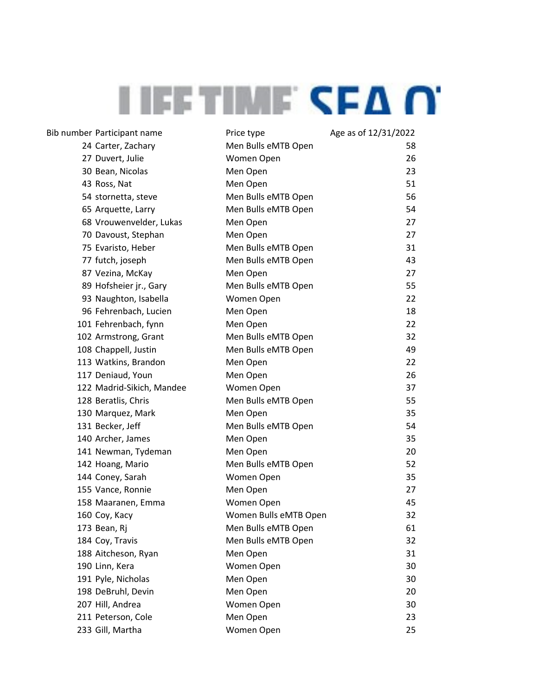| Bib number Participant name | Price type            | Age as of 12/31/2022 |
|-----------------------------|-----------------------|----------------------|
| 24 Carter, Zachary          | Men Bulls eMTB Open   | 58                   |
| 27 Duvert, Julie            | Women Open            | 26                   |
| 30 Bean, Nicolas            | Men Open              | 23                   |
| 43 Ross, Nat                | Men Open              | 51                   |
| 54 stornetta, steve         | Men Bulls eMTB Open   | 56                   |
| 65 Arquette, Larry          | Men Bulls eMTB Open   | 54                   |
| 68 Vrouwenvelder, Lukas     | Men Open              | 27                   |
| 70 Davoust, Stephan         | Men Open              | 27                   |
| 75 Evaristo, Heber          | Men Bulls eMTB Open   | 31                   |
| 77 futch, joseph            | Men Bulls eMTB Open   | 43                   |
| 87 Vezina, McKay            | Men Open              | 27                   |
| 89 Hofsheier jr., Gary      | Men Bulls eMTB Open   | 55                   |
| 93 Naughton, Isabella       | Women Open            | 22                   |
| 96 Fehrenbach, Lucien       | Men Open              | 18                   |
| 101 Fehrenbach, fynn        | Men Open              | 22                   |
| 102 Armstrong, Grant        | Men Bulls eMTB Open   | 32                   |
| 108 Chappell, Justin        | Men Bulls eMTB Open   | 49                   |
| 113 Watkins, Brandon        | Men Open              | 22                   |
| 117 Deniaud, Youn           | Men Open              | 26                   |
| 122 Madrid-Sikich, Mandee   | Women Open            | 37                   |
| 128 Beratlis, Chris         | Men Bulls eMTB Open   | 55                   |
| 130 Marquez, Mark           | Men Open              | 35                   |
| 131 Becker, Jeff            | Men Bulls eMTB Open   | 54                   |
| 140 Archer, James           | Men Open              | 35                   |
| 141 Newman, Tydeman         | Men Open              | 20                   |
| 142 Hoang, Mario            | Men Bulls eMTB Open   | 52                   |
| 144 Coney, Sarah            | Women Open            | 35                   |
| 155 Vance, Ronnie           | Men Open              | 27                   |
| 158 Maaranen, Emma          | Women Open            | 45                   |
| 160 Coy, Kacy               | Women Bulls eMTB Open | 32                   |
| 173 Bean, Rj                | Men Bulls eMTB Open   | 61                   |
| 184 Coy, Travis             | Men Bulls eMTB Open   | 32                   |
| 188 Aitcheson, Ryan         | Men Open              | 31                   |
| 190 Linn, Kera              | Women Open            | 30                   |
| 191 Pyle, Nicholas          | Men Open              | 30                   |
| 198 DeBruhl, Devin          | Men Open              | 20                   |
| 207 Hill, Andrea            | Women Open            | 30                   |
| 211 Peterson, Cole          | Men Open              | 23                   |
| 233 Gill, Martha            | Women Open            | 25                   |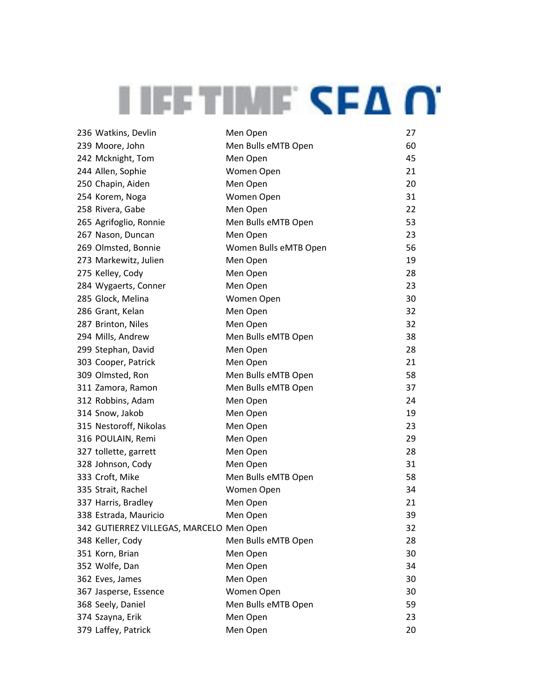| 236 Watkins, Devlin                      | Men Open              | 27 |
|------------------------------------------|-----------------------|----|
| 239 Moore, John                          | Men Bulls eMTB Open   | 60 |
| 242 Mcknight, Tom                        | Men Open              | 45 |
| 244 Allen, Sophie                        | Women Open            | 21 |
| 250 Chapin, Aiden                        | Men Open              | 20 |
| 254 Korem, Noga                          | Women Open            | 31 |
| 258 Rivera, Gabe                         | Men Open              | 22 |
| 265 Agrifoglio, Ronnie                   | Men Bulls eMTB Open   | 53 |
| 267 Nason, Duncan                        | Men Open              | 23 |
| 269 Olmsted, Bonnie                      | Women Bulls eMTB Open | 56 |
| 273 Markewitz, Julien                    | Men Open              | 19 |
| 275 Kelley, Cody                         | Men Open              | 28 |
| 284 Wygaerts, Conner                     | Men Open              | 23 |
| 285 Glock, Melina                        | Women Open            | 30 |
| 286 Grant, Kelan                         | Men Open              | 32 |
| 287 Brinton, Niles                       | Men Open              | 32 |
| 294 Mills, Andrew                        | Men Bulls eMTB Open   | 38 |
| 299 Stephan, David                       | Men Open              | 28 |
| 303 Cooper, Patrick                      | Men Open              | 21 |
| 309 Olmsted, Ron                         | Men Bulls eMTB Open   | 58 |
| 311 Zamora, Ramon                        | Men Bulls eMTB Open   | 37 |
| 312 Robbins, Adam                        | Men Open              | 24 |
| 314 Snow, Jakob                          | Men Open              | 19 |
| 315 Nestoroff, Nikolas                   | Men Open              | 23 |
| 316 POULAIN, Remi                        | Men Open              | 29 |
| 327 tollette, garrett                    | Men Open              | 28 |
| 328 Johnson, Cody                        | Men Open              | 31 |
| 333 Croft, Mike                          | Men Bulls eMTB Open   | 58 |
| 335 Strait, Rachel                       | Women Open            | 34 |
| 337 Harris, Bradley                      | Men Open              | 21 |
| 338 Estrada, Mauricio                    | Men Open              | 39 |
| 342 GUTIERREZ VILLEGAS, MARCELO Men Open |                       | 32 |
| 348 Keller, Cody                         | Men Bulls eMTB Open   | 28 |
| 351 Korn, Brian                          | Men Open              | 30 |
| 352 Wolfe, Dan                           | Men Open              | 34 |
| 362 Eves, James                          | Men Open              | 30 |
| 367 Jasperse, Essence                    | Women Open            | 30 |
| 368 Seely, Daniel                        | Men Bulls eMTB Open   | 59 |
| 374 Szayna, Erik                         | Men Open              | 23 |
| 379 Laffey, Patrick                      | Men Open              | 20 |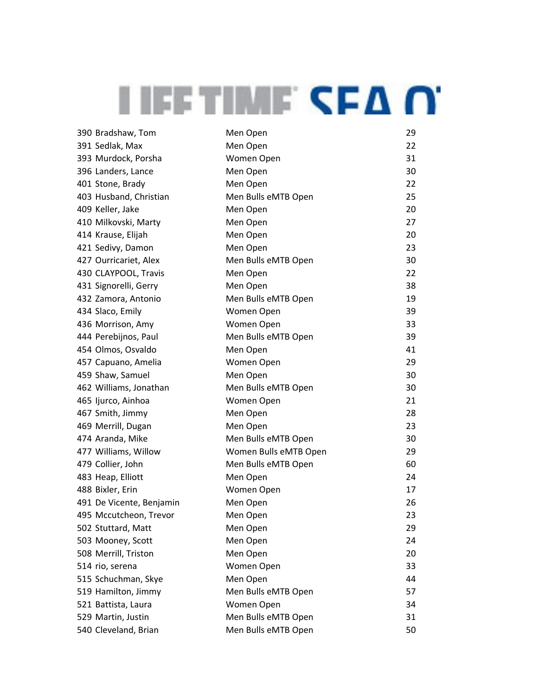| 390 Bradshaw, Tom        | Men Open              | 29 |
|--------------------------|-----------------------|----|
| 391 Sedlak, Max          | Men Open              | 22 |
| 393 Murdock, Porsha      | Women Open            | 31 |
| 396 Landers, Lance       | Men Open              | 30 |
| 401 Stone, Brady         | Men Open              | 22 |
| 403 Husband, Christian   | Men Bulls eMTB Open   | 25 |
| 409 Keller, Jake         | Men Open              | 20 |
| 410 Milkovski, Marty     | Men Open              | 27 |
| 414 Krause, Elijah       | Men Open              | 20 |
| 421 Sedivy, Damon        | Men Open              | 23 |
| 427 Ourricariet, Alex    | Men Bulls eMTB Open   | 30 |
| 430 CLAYPOOL, Travis     | Men Open              | 22 |
| 431 Signorelli, Gerry    | Men Open              | 38 |
| 432 Zamora, Antonio      | Men Bulls eMTB Open   | 19 |
| 434 Slaco, Emily         | Women Open            | 39 |
| 436 Morrison, Amy        | Women Open            | 33 |
| 444 Perebijnos, Paul     | Men Bulls eMTB Open   | 39 |
| 454 Olmos, Osvaldo       | Men Open              | 41 |
| 457 Capuano, Amelia      | Women Open            | 29 |
| 459 Shaw, Samuel         | Men Open              | 30 |
| 462 Williams, Jonathan   | Men Bulls eMTB Open   | 30 |
| 465 Ijurco, Ainhoa       | Women Open            | 21 |
| 467 Smith, Jimmy         | Men Open              | 28 |
| 469 Merrill, Dugan       | Men Open              | 23 |
| 474 Aranda, Mike         | Men Bulls eMTB Open   | 30 |
| 477 Williams, Willow     | Women Bulls eMTB Open | 29 |
| 479 Collier, John        | Men Bulls eMTB Open   | 60 |
| 483 Heap, Elliott        | Men Open              | 24 |
| 488 Bixler, Erin         | Women Open            | 17 |
| 491 De Vicente, Benjamin | Men Open              | 26 |
| 495 Mccutcheon, Trevor   | Men Open              | 23 |
| 502 Stuttard, Matt       | Men Open              | 29 |
| 503 Mooney, Scott        | Men Open              | 24 |
| 508 Merrill, Triston     | Men Open              | 20 |
| 514 rio, serena          | Women Open            | 33 |
| 515 Schuchman, Skye      | Men Open              | 44 |
| 519 Hamilton, Jimmy      | Men Bulls eMTB Open   | 57 |
| 521 Battista, Laura      | Women Open            | 34 |
| 529 Martin, Justin       | Men Bulls eMTB Open   | 31 |
| 540 Cleveland, Brian     | Men Bulls eMTB Open   | 50 |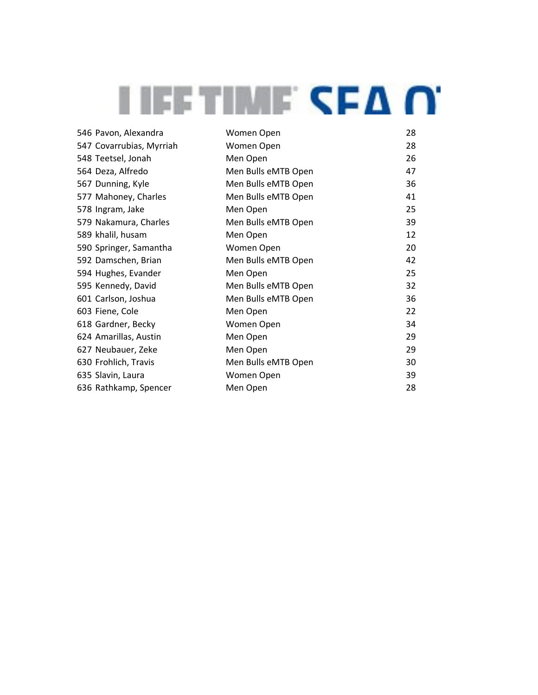| 546 Pavon, Alexandra     | Women Open          | 28 |
|--------------------------|---------------------|----|
| 547 Covarrubias, Myrriah | Women Open          | 28 |
| 548 Teetsel, Jonah       | Men Open            | 26 |
| 564 Deza, Alfredo        | Men Bulls eMTB Open | 47 |
| 567 Dunning, Kyle        | Men Bulls eMTB Open | 36 |
| 577 Mahoney, Charles     | Men Bulls eMTB Open | 41 |
| 578 Ingram, Jake         | Men Open            | 25 |
| 579 Nakamura, Charles    | Men Bulls eMTB Open | 39 |
| 589 khalil, husam        | Men Open            | 12 |
| 590 Springer, Samantha   | Women Open          | 20 |
| 592 Damschen, Brian      | Men Bulls eMTB Open | 42 |
| 594 Hughes, Evander      | Men Open            | 25 |
| 595 Kennedy, David       | Men Bulls eMTB Open | 32 |
| 601 Carlson, Joshua      | Men Bulls eMTB Open | 36 |
| 603 Fiene, Cole          | Men Open            | 22 |
| 618 Gardner, Becky       | Women Open          | 34 |
| 624 Amarillas, Austin    | Men Open            | 29 |
| 627 Neubauer, Zeke       | Men Open            | 29 |
| 630 Frohlich, Travis     | Men Bulls eMTB Open | 30 |
| 635 Slavin, Laura        | Women Open          | 39 |
| 636 Rathkamp, Spencer    | Men Open            | 28 |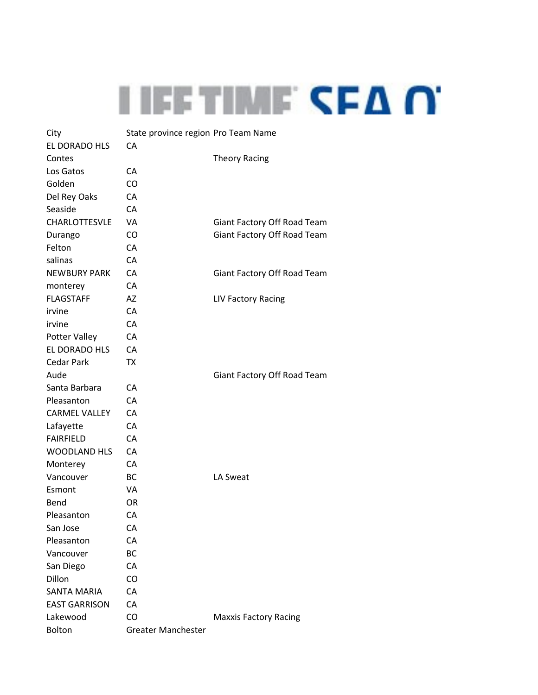

| City                 | State province region Pro Team Name |                              |
|----------------------|-------------------------------------|------------------------------|
| EL DORADO HLS        | CA                                  |                              |
| Contes               |                                     | <b>Theory Racing</b>         |
| Los Gatos            | СA                                  |                              |
| Golden               | CO                                  |                              |
| Del Rey Oaks         | <b>CA</b>                           |                              |
| Seaside              | CA                                  |                              |
| CHARLOTTESVLE        | VA                                  | Giant Factory Off Road Team  |
| Durango              | CO                                  | Giant Factory Off Road Team  |
| Felton               | CA                                  |                              |
| salinas              | CA                                  |                              |
| <b>NEWBURY PARK</b>  | CA                                  | Giant Factory Off Road Team  |
| monterey             | CA                                  |                              |
| <b>FLAGSTAFF</b>     | AZ                                  | <b>LIV Factory Racing</b>    |
| irvine               | CA                                  |                              |
| irvine               | CA                                  |                              |
| Potter Valley        | CA                                  |                              |
| EL DORADO HLS        | CA                                  |                              |
| <b>Cedar Park</b>    | <b>TX</b>                           |                              |
| Aude                 |                                     | Giant Factory Off Road Team  |
| Santa Barbara        | CA                                  |                              |
| Pleasanton           | CA                                  |                              |
| <b>CARMEL VALLEY</b> | CA                                  |                              |
| Lafayette            | CA                                  |                              |
| <b>FAIRFIELD</b>     | CA                                  |                              |
| <b>WOODLAND HLS</b>  | CA                                  |                              |
| Monterey             | CA                                  |                              |
| Vancouver            | BC                                  | LA Sweat                     |
| Esmont               | VA                                  |                              |
| Bend                 | <b>OR</b>                           |                              |
| Pleasanton           | CA                                  |                              |
| San Jose             | CA                                  |                              |
| Pleasanton           | CA                                  |                              |
| Vancouver            | BC                                  |                              |
| San Diego            | CA                                  |                              |
| Dillon               | CO                                  |                              |
| <b>SANTA MARIA</b>   | CA                                  |                              |
| <b>EAST GARRISON</b> | CA                                  |                              |
| Lakewood             | C <sub>O</sub>                      | <b>Maxxis Factory Racing</b> |
| Bolton               | <b>Greater Manchester</b>           |                              |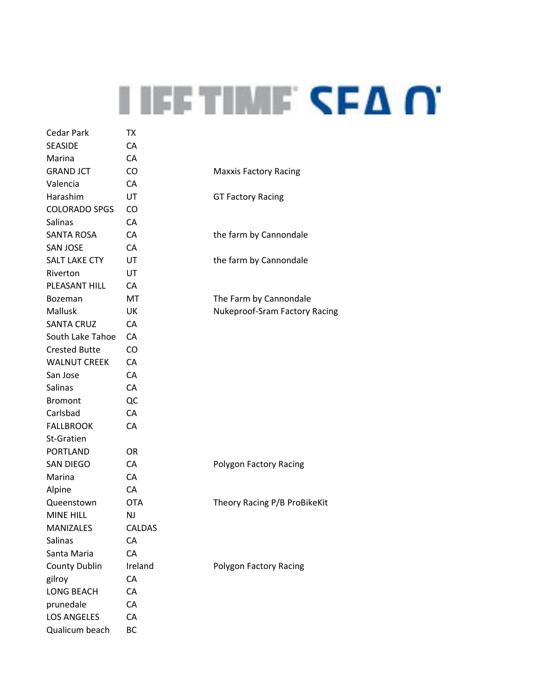| Cedar Park           | TХ         |                               |
|----------------------|------------|-------------------------------|
| <b>SEASIDE</b>       | CA         |                               |
| Marina               | CA         |                               |
| <b>GRAND JCT</b>     | CO         | <b>Maxxis Factory Racing</b>  |
| Valencia             | CA         |                               |
| Harashim             | UT         | <b>GT Factory Racing</b>      |
| <b>COLORADO SPGS</b> | CO.        |                               |
| Salinas              | CA         |                               |
| <b>SANTA ROSA</b>    | CA         | the farm by Cannondale        |
| <b>SAN JOSE</b>      | CA         |                               |
| <b>SALT LAKE CTY</b> | UT         | the farm by Cannondale        |
| Riverton             | UT         |                               |
| PLEASANT HILL        | CA         |                               |
| <b>Bozeman</b>       | MT         | The Farm by Cannondale        |
| <b>Mallusk</b>       | UK         | Nukeproof-Sram Factory Racing |
| <b>SANTA CRUZ</b>    | CA         |                               |
| South Lake Tahoe     | CA         |                               |
| <b>Crested Butte</b> | CO         |                               |
| <b>WALNUT CREEK</b>  | CA         |                               |
| San Jose             | CA         |                               |
| Salinas              | CA         |                               |
| <b>Bromont</b>       | QC         |                               |
| Carlsbad             | CA         |                               |
| <b>FALLBROOK</b>     | CA         |                               |
| St-Gratien           |            |                               |
| <b>PORTLAND</b>      | OR.        |                               |
| SAN DIEGO            | CA         | Polygon Factory Racing        |
| Marina               | CA         |                               |
| Alpine               | CA         |                               |
| Queenstown           | <b>OTA</b> | Theory Racing P/B ProBikeKit  |
| <b>MINE HILL</b>     | <b>NJ</b>  |                               |
| <b>MANIZALES</b>     | CALDAS     |                               |
| <b>Salinas</b>       | CA         |                               |
| Santa Maria          | CA         |                               |
| <b>County Dublin</b> | Ireland    | Polygon Factory Racing        |
| gilroy               | CA         |                               |
| <b>LONG BEACH</b>    | CA         |                               |
| prunedale            | СA         |                               |
| <b>LOS ANGELES</b>   | CA         |                               |
| Qualicum beach       | BC         |                               |
|                      |            |                               |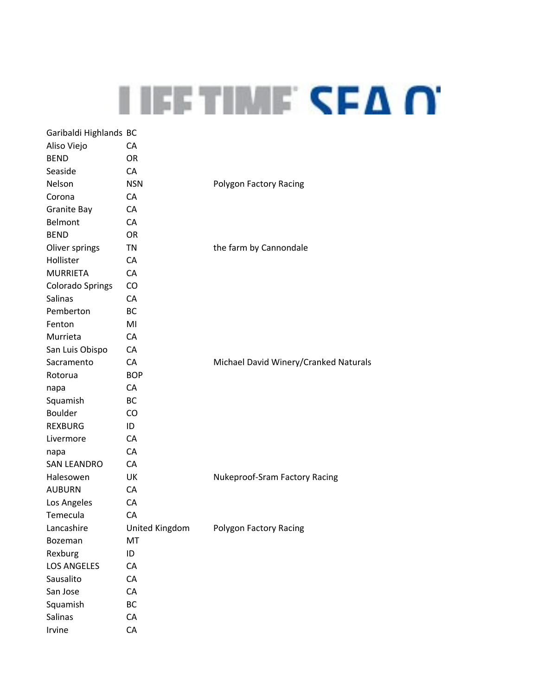## **I IEE TIME CEA O.**

| Garibaldi Highlands BC  |                |                                       |
|-------------------------|----------------|---------------------------------------|
| Aliso Viejo             | CA             |                                       |
| <b>BEND</b>             | OR.            |                                       |
| Seaside                 | CA             |                                       |
| <b>Nelson</b>           | <b>NSN</b>     | Polygon Factory Racing                |
| Corona                  | CA             |                                       |
| Granite Bay             | CA             |                                       |
| Belmont                 | CA             |                                       |
| <b>BEND</b>             | <b>OR</b>      |                                       |
| Oliver springs          | TN             | the farm by Cannondale                |
| Hollister               | CA             |                                       |
| <b>MURRIETA</b>         | CA             |                                       |
| <b>Colorado Springs</b> | CO             |                                       |
| Salinas                 | CA             |                                       |
| Pemberton               | BC             |                                       |
| Fenton                  | MI             |                                       |
| Murrieta                | CA             |                                       |
| San Luis Obispo         | CA             |                                       |
| Sacramento              | CA             | Michael David Winery/Cranked Naturals |
| Rotorua                 | <b>BOP</b>     |                                       |
| napa                    | CA             |                                       |
| Squamish                | ВC             |                                       |
| <b>Boulder</b>          | <b>CO</b>      |                                       |
| <b>REXBURG</b>          | ID             |                                       |
| Livermore               | CA             |                                       |
| napa                    | CA             |                                       |
| <b>SAN LEANDRO</b>      | CA             |                                       |
| Halesowen               | UK             | <b>Nukeproof-Sram Factory Racing</b>  |
| <b>AUBURN</b>           | CA             |                                       |
| Los Angeles             | CA             |                                       |
| Temecula                | CA             |                                       |
| Lancashire              | United Kingdom | Polygon Factory Racing                |
| Bozeman                 | MT             |                                       |
| Rexburg                 | ID             |                                       |
| <b>LOS ANGELES</b>      | CA             |                                       |
| Sausalito               | CA             |                                       |
| San Jose                | CA             |                                       |
| Squamish                | ВC             |                                       |
| Salinas                 | CA             |                                       |
| Irvine                  | CA             |                                       |